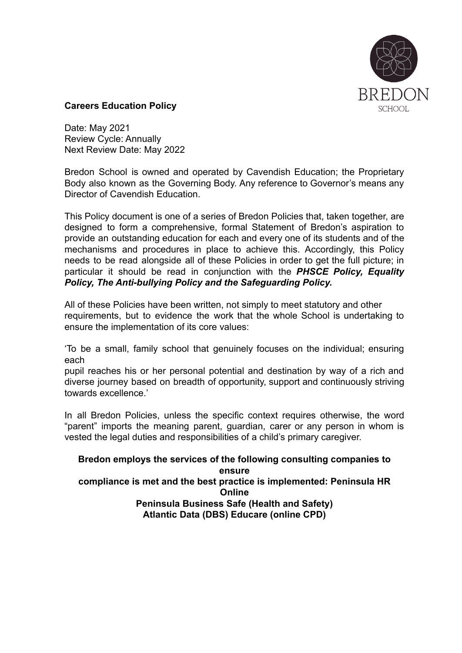

#### **Careers Education Policy**

Date: May 2021 Review Cycle: Annually Next Review Date: May 2022

Bredon School is owned and operated by Cavendish Education; the Proprietary Body also known as the Governing Body. Any reference to Governor's means any Director of Cavendish Education.

This Policy document is one of a series of Bredon Policies that, taken together, are designed to form a comprehensive, formal Statement of Bredon's aspiration to provide an outstanding education for each and every one of its students and of the mechanisms and procedures in place to achieve this. Accordingly, this Policy needs to be read alongside all of these Policies in order to get the full picture; in particular it should be read in conjunction with the *PHSCE Policy, Equality Policy, The Anti-bullying Policy and the Safeguarding Policy.*

All of these Policies have been written, not simply to meet statutory and other requirements, but to evidence the work that the whole School is undertaking to ensure the implementation of its core values:

'To be a small, family school that genuinely focuses on the individual; ensuring each

pupil reaches his or her personal potential and destination by way of a rich and diverse journey based on breadth of opportunity, support and continuously striving towards excellence.'

In all Bredon Policies, unless the specific context requires otherwise, the word "parent" imports the meaning parent, guardian, carer or any person in whom is vested the legal duties and responsibilities of a child's primary caregiver.

**Bredon employs the services of the following consulting companies to ensure compliance is met and the best practice is implemented: Peninsula HR Online Peninsula Business Safe (Health and Safety) Atlantic Data (DBS) Educare (online CPD)**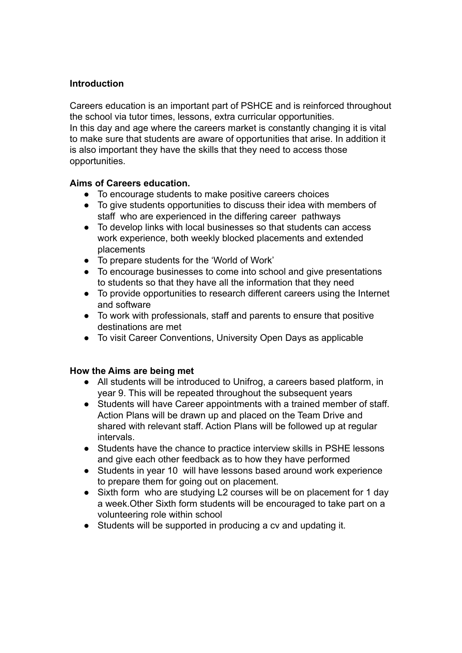#### **Introduction**

Careers education is an important part of PSHCE and is reinforced throughout the school via tutor times, lessons, extra curricular opportunities. In this day and age where the careers market is constantly changing it is vital to make sure that students are aware of opportunities that arise. In addition it is also important they have the skills that they need to access those opportunities.

#### **Aims of Careers education.**

- To encourage students to make positive careers choices
- To give students opportunities to discuss their idea with members of staff who are experienced in the differing career pathways
- To develop links with local businesses so that students can access work experience, both weekly blocked placements and extended placements
- To prepare students for the 'World of Work'
- To encourage businesses to come into school and give presentations to students so that they have all the information that they need
- To provide opportunities to research different careers using the Internet and software
- To work with professionals, staff and parents to ensure that positive destinations are met
- To visit Career Conventions, University Open Days as applicable

#### **How the Aims are being met**

- All students will be introduced to Unifrog, a careers based platform, in year 9. This will be repeated throughout the subsequent years
- Students will have Career appointments with a trained member of staff. Action Plans will be drawn up and placed on the Team Drive and shared with relevant staff. Action Plans will be followed up at regular intervals.
- Students have the chance to practice interview skills in PSHE lessons and give each other feedback as to how they have performed
- Students in year 10 will have lessons based around work experience to prepare them for going out on placement.
- Sixth form who are studying L2 courses will be on placement for 1 day a week.Other Sixth form students will be encouraged to take part on a volunteering role within school
- Students will be supported in producing a cv and updating it.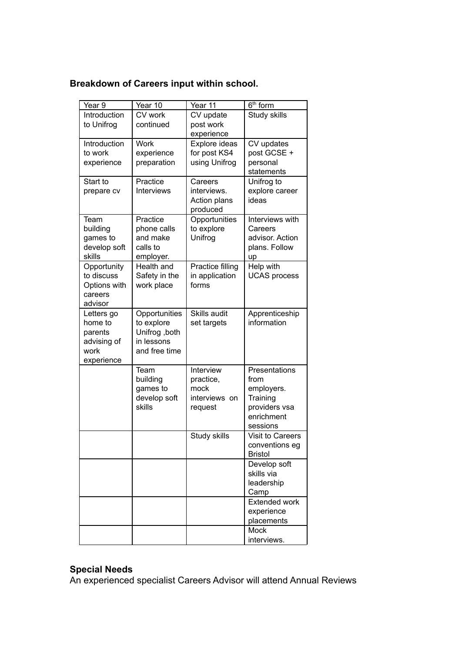## **Breakdown of Careers input within school.**

| Year 9       | Year 10           | Year 11          | $\overline{6}^{\text{th}}$ form |
|--------------|-------------------|------------------|---------------------------------|
| Introduction | CV work           | CV update        | Study skills                    |
| to Unifrog   | continued         | post work        |                                 |
|              |                   | experience       |                                 |
| Introduction | <b>Work</b>       | Explore ideas    | CV updates                      |
| to work      | experience        | for post KS4     | post GCSE +                     |
| experience   | preparation       | using Unifrog    | personal                        |
|              |                   |                  | statements                      |
| Start to     | Practice          | Careers          | Unifrog to                      |
| prepare cv   | <b>Interviews</b> | interviews.      | explore career                  |
|              |                   | Action plans     | ideas                           |
|              |                   | produced         |                                 |
| Team         | Practice          | Opportunities    | Interviews with                 |
| building     | phone calls       | to explore       | Careers                         |
| games to     | and make          | Unifrog          | advisor. Action                 |
| develop soft | calls to          |                  | plans. Follow                   |
| skills       | employer.         |                  | up                              |
| Opportunity  | Health and        | Practice filling | Help with                       |
| to discuss   | Safety in the     | in application   | <b>UCAS</b> process             |
| Options with | work place        | forms            |                                 |
| careers      |                   |                  |                                 |
| advisor      |                   |                  |                                 |
| Letters go   | Opportunities     | Skills audit     | Apprenticeship                  |
| home to      | to explore        | set targets      | information                     |
| parents      | Unifrog , both    |                  |                                 |
| advising of  | in lessons        |                  |                                 |
| work         | and free time     |                  |                                 |
| experience   |                   |                  |                                 |
|              | Team              | Interview        | Presentations                   |
|              | building          | practice,        | from                            |
|              | games to          | mock             | employers.                      |
|              | develop soft      | interviews on    | Training                        |
|              | skills            | request          | providers vsa<br>enrichment     |
|              |                   |                  | sessions                        |
|              |                   | Study skills     | <b>Visit to Careers</b>         |
|              |                   |                  | conventions eg                  |
|              |                   |                  | <b>Bristol</b>                  |
|              |                   |                  | Develop soft                    |
|              |                   |                  | skills via                      |
|              |                   |                  | leadership                      |
|              |                   |                  | Camp                            |
|              |                   |                  | <b>Extended work</b>            |
|              |                   |                  | experience                      |
|              |                   |                  | placements                      |
|              |                   |                  | Mock                            |
|              |                   |                  | interviews.                     |

# **Special Needs**

An experienced specialist Careers Advisor will attend Annual Reviews